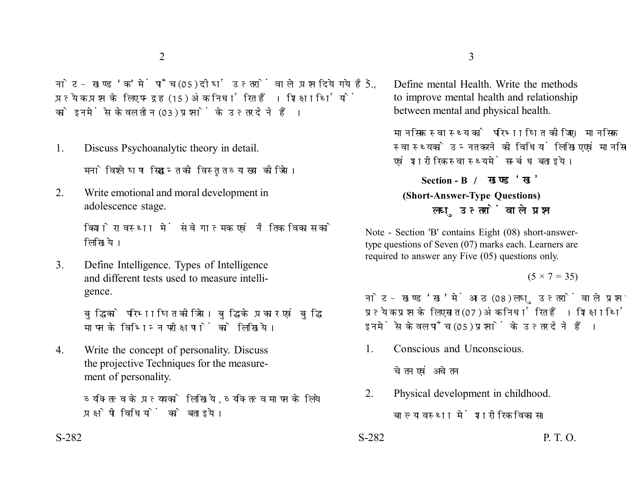नोट- खण्ड 'क' में पाँच (05) दीर्घ उत्तरों वाले प्रश्न दिये गये हैं. प्रत्येक प्रश्न के लिए पन्द्रह (15) अंक निर्धारित हैं। शिक्षार्थियों को इनमें से केवल तीन (03) प्रश्नों के उत्तर देने हैं।

- 1. Discuss Psychoanalytic theory in detail. मनोविश्लेषण सिद्धान्त की विस्तृत व्याख्या कीजिये।
- 2. Write emotional and moral development in adolescence stage.

किशोरावस्था में संवेगात्मक एवं नैतिक विकास को लिखिये।

3. Define Intelligence. Types of Intelligence and different tests used to measure intelligence.

> बद्धि को परिभाषित कीजिये। बद्धि के प्रकार एवं बद्धि मापन के विभिन्न परीक्षणों को लिखिये।

4. Write the concept of personality. Discuss the projective Techniques for the measurement of personality.

> व्यक्तित्व के प्रत्यय को लिखिये, व्यक्तित्व मापन के लिये प्रक्षेपी विधियों को बताइये।

5. Define mental Health. Write the methods to improve mental health and relationship between mental and physical health.

> मानसिक स्वास्थ्य को परिभाषित कीजिए। मानसिक स्वास्थ्य को उन्नत करने की विधियां लिखिए एवं मानसिक एवं शारीरिक स्वास्थ्य में सम्बंध बताइये।

**Section - B (Short-Answer-Type Questions)** लघु उत्तरों वाले प्रश्न

Note - Section 'B' contains Eight (08) short-answertype questions of Seven (07) marks each. Learners are required to answer any Five (05) questions only.

 $(5 \times 7 = 35)$ 

नोट- खण्ड 'ख' में आठ (08) लघु उत्तरों वाले प्रश्न दिये गये हैं, प्रत्येक प्रश्न के लिए सात (07) अंक निर्धारित हैं। शिक्षार्थियों को इनमें से केवल पाँच (05) प्रश्नों के उत्तर देने हैं।

1. Conscious and Unconscious.

चेतन एवं अचेतन

2. Physical development in childhood.

बाल्यावस्था में शारीरिक विकास।

 $S-282$  P. T. O.